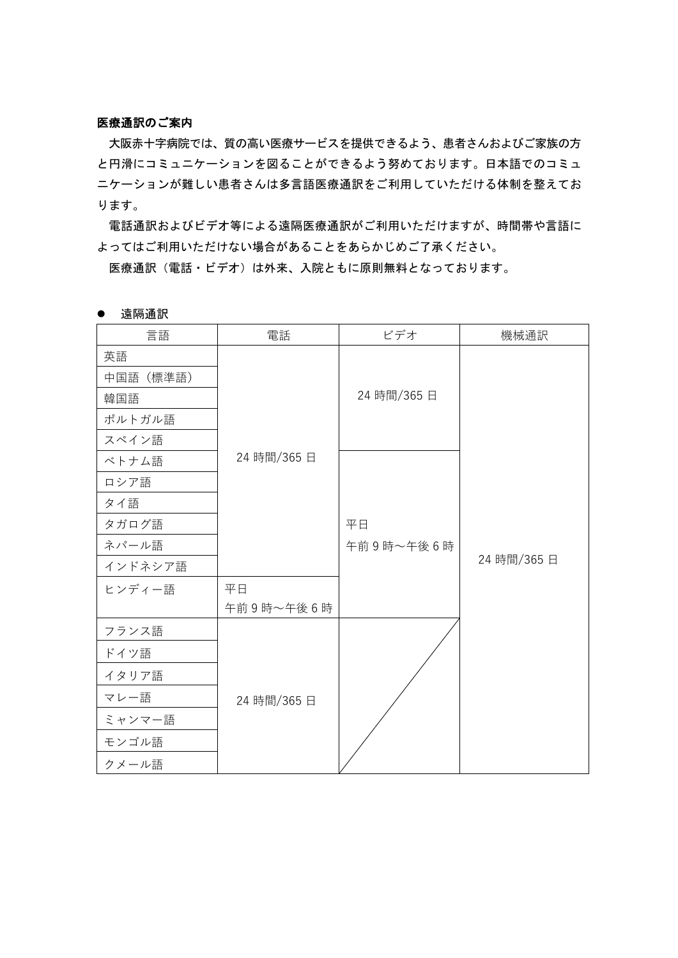## 医療通訳のご案内

大阪赤十字病院では、質の高い医療サービスを提供できるよう、患者さんおよびご家族の方 と円滑にコミュニケーションを図ることができるよう努めております。日本語でのコミュ ニケーションが難しい患者さんは多言語医療通訳をご利用していただける体制を整えてお ります。

電話通訳およびビデオ等による遠隔医療通訳がご利用いただけますが、時間帯や言語に よってはご利用いただけない場合があることをあらかじめご了承ください。

医療通訳(電話・ビデオ)は外来、入院ともに原則無料となっております。

| 言語       | 電話          | ビデオ         | 機械通訳        |
|----------|-------------|-------------|-------------|
| 英語       |             |             |             |
| 中国語(標準語) |             |             |             |
| 韓国語      |             | 24 時間/365 日 |             |
| ポルトガル語   |             |             |             |
| スペイン語    |             |             |             |
| ベトナム語    | 24 時間/365日  |             |             |
| ロシア語     |             |             |             |
| タイ語      |             |             |             |
| タガログ語    |             | 平日          |             |
| ネパール語    |             | 午前9時~午後6時   |             |
| インドネシア語  |             |             | 24 時間/365 日 |
| ヒンディー語   | 平日          |             |             |
|          | 午前9時~午後6時   |             |             |
| フランス語    |             |             |             |
| ドイツ語     |             |             |             |
| イタリア語    |             |             |             |
| マレー語     | 24 時間/365 日 |             |             |
| ミャンマー語   |             |             |             |
| モンゴル語    |             |             |             |
| クメール語    |             |             |             |

● 遠隔通訳